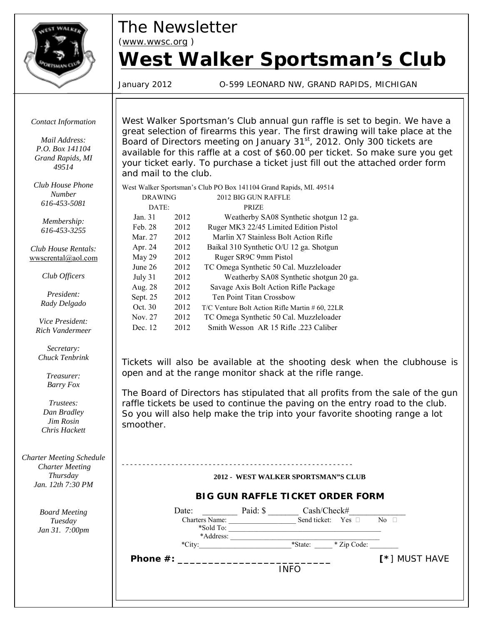

*The Newsletter*

*(www.wwsc.org )*

# *West Walker Sportsman's Club*

January 2012 O-599 LEONARD NW, GRAND RAPIDS, MICHIGAN

*Contact Information*

*Mail Address: P.O. Box 141104 Grand Rapids, MI 49514*

*Club House Phone Number 616-453-5081*

> *Membership: 616-453-3255*

*Club House Rentals:* wwscrental@aol.com

*Club Officers*

*President: Rady Delgado*

*Vice President: Rich Vandermeer*

*Secretary: Chuck Tenbrink*

> *Treasurer: Barry Fox*

*Trustees: Dan Bradley Jim Rosin Chris Hackett*

*Charter Meeting Schedule Charter Meeting Thursday Jan. 12th 7:30 PM*

> *Board Meeting Tuesday Jan 31. 7:00pm*

West Walker Sportsman's Club annual gun raffle is set to begin. We have a great selection of firearms this year. The first drawing will take place at the Board of Directors meeting on January 31<sup>st</sup>, 2012. Only 300 tickets are available for this raffle at a cost of \$60.00 per ticket. So make sure you get your ticket early. To purchase a ticket just fill out the attached order form and mail to the club.

West Walker Sportsman's Club PO Box 141104 Grand Rapids, MI. 49514

| <b>DRAWING</b> |      | 2012 BIG GUN RAFFLE                             |  |
|----------------|------|-------------------------------------------------|--|
| DATE:          |      | <b>PRIZE</b>                                    |  |
| Jan. 31        | 2012 | Weatherby SA08 Synthetic shotgun 12 ga.         |  |
| Feb. 28        | 2012 | Ruger MK3 22/45 Limited Edition Pistol          |  |
| Mar. 27        | 2012 | Marlin X7 Stainless Bolt Action Rifle           |  |
| Apr. 24        | 2012 | Baikal 310 Synthetic O/U 12 ga. Shotgun         |  |
| May 29         | 2012 | Ruger SR9C 9mm Pistol                           |  |
| June 26        | 2012 | TC Omega Synthetic 50 Cal. Muzzleloader         |  |
| July 31        | 2012 | Weatherby SA08 Synthetic shotgun 20 ga.         |  |
| Aug. 28        | 2012 | Savage Axis Bolt Action Rifle Package           |  |
| Sept. 25       | 2012 | Ten Point Titan Crossbow                        |  |
| Oct. 30        | 2012 | T/C Venture Bolt Action Rifle Martin # 60, 22LR |  |
| Nov. 27        | 2012 | TC Omega Synthetic 50 Cal. Muzzleloader         |  |
| Dec. 12        | 2012 | Smith Wesson AR 15 Rifle 223 Caliber            |  |

Tickets will also be available at the shooting desk when the clubhouse is open and at the range monitor shack at the rifle range.

The Board of Directors has stipulated that all profits from the sale of the gun raffle tickets be used to continue the paving on the entry road to the club. So you will also help make the trip into your favorite shooting range a lot smoother.

> - - - - - - - - - - - - - - - - - - - - - - - - - - - - - - - - - - - - - - - - - - - - - - - - - - - - - - - - **2012 - WEST WALKER SPORTSMAN"S CLUB**

#### **BIG GUN RAFFLE TICKET ORDER FORM**

|          | Date:                              | Paid: \$ | $Cash/Check\#)$            |             |                             |
|----------|------------------------------------|----------|----------------------------|-------------|-----------------------------|
|          | <b>Charters Name:</b><br>*Sold To: |          | Send ticket: Yes $\square$ |             | No $\square$                |
|          | *Address:                          |          |                            |             |                             |
|          | $^*$ City:                         |          | *State:                    | * Zip Code: |                             |
| Phone #: |                                    |          |                            |             | $\lceil * \rceil$ MUST HAVE |
|          |                                    |          |                            |             |                             |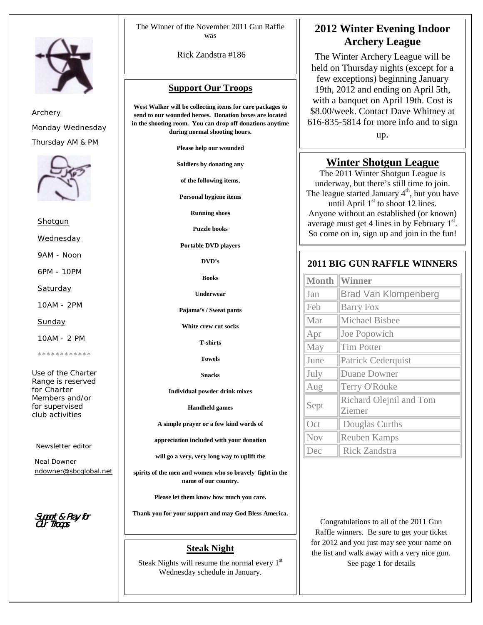

*Archery Monday Wednesday Thursday AM & PM*



*Shotgun*

*Wednesday*

*9AM - Noon*

*6PM - 10PM*

*Saturday*

*10AM - 2PM*

*Sunday*

*10AM - 2 PM*

*\*\*\*\*\*\*\*\*\*\*\*\**

*Use of the Charter Range is reserved for Charter Members and/or for supervised club activities*

*Newsletter editor*

*Neal Downer ndowner@sbcglobal.net*

Support & Pray for Support & Our Troops

The Winner of the November 2011 Gun Raffle was

Rick Zandstra #186

#### **Support Our Troops**

**West Walker will be collecting items for care packages to send to our wounded heroes. Donation boxes are located in the shooting room. You can drop off donations anytime during normal shooting hours.**

**Please help our wounded**

**Soldiers by donating any**

**of the following items,**

**Personal hygiene items**

**Running shoes**

**Puzzle books**

**Portable DVD players**

**DVD's**

**Books**

**Underwear**

**Pajama's / Sweat pants**

**White crew cut socks**

**T-shirts**

**Towels**

**Snacks**

**Individual powder drink mixes**

**Handheld games**

**A simple prayer or a few kind words of**

**appreciation included with your donation**

**will go a very, very long way to uplift the**

**spirits of the men and women who so bravely fight in the name of our country.**

**Please let them know how much you care.**

**Thank you for your support and may God Bless America.**

#### **Steak Night**

Steak Nights will resume the normal every  $1<sup>st</sup>$ Wednesday schedule in January.

#### **2012 Winter Evening Indoor Archery League**

The Winter Archery League will be held on Thursday nights (except for a few exceptions) beginning January 19th, 2012 and ending on April 5th, with a banquet on April 19th. Cost is \$8.00/week. Contact Dave Whitney at 616-835-5814 for more info and to sign up.

#### **Winter Shotgun League**

The 2011 Winter Shotgun League is underway, but there's still time to join. The league started January  $4<sup>th</sup>$ , but you have until April  $1<sup>st</sup>$  to shoot 12 lines. Anyone without an established (or known) average must get 4 lines in by February  $1<sup>st</sup>$ . So come on in, sign up and join in the fun!

#### **2011 BIG GUN RAFFLE WINNERS**

| <b>Month</b> | <b>Winner</b>                     |
|--------------|-----------------------------------|
| Jan          | <b>Brad Van Klompenberg</b>       |
| Feb          | <b>Barry Fox</b>                  |
| Mar          | <b>Michael Bisbee</b>             |
| Apr          | Joe Popowich                      |
| May          | <b>Tim Potter</b>                 |
| June         | <b>Patrick Cederquist</b>         |
| July         | <b>Duane Downer</b>               |
| Aug          | Terry O'Rouke                     |
| Sept         | Richard Olejnil and Tom<br>Ziemer |
| Oct          | Douglas Curths                    |
| Nov          | <b>Reuben Kamps</b>               |
| Dec          | <b>Rick Zandstra</b>              |

Congratulations to all of the 2011 Gun Raffle winners. Be sure to get your ticket for 2012 and you just may see your name on the list and walk away with a very nice gun. See page 1 for details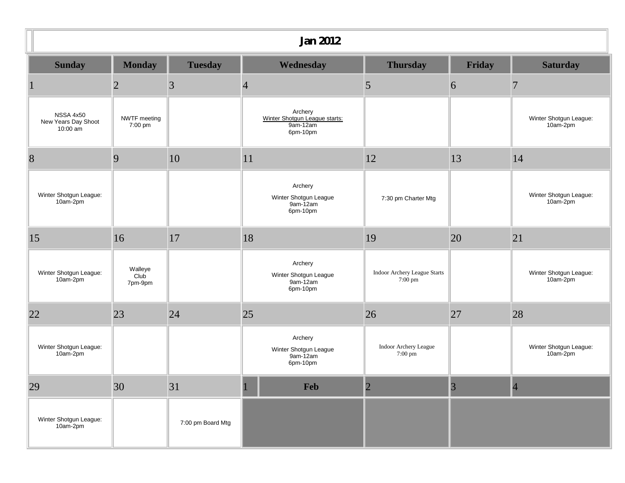| <b>Jan 2012</b>                              |                            |                   |                                                                  |                                                   |                |                                    |
|----------------------------------------------|----------------------------|-------------------|------------------------------------------------------------------|---------------------------------------------------|----------------|------------------------------------|
| <b>Sunday</b>                                | <b>Monday</b>              | <b>Tuesday</b>    | Wednesday                                                        | <b>Thursday</b>                                   | <b>Friday</b>  | <b>Saturday</b>                    |
|                                              | $\overline{2}$             | 3                 | $\overline{4}$                                                   | 5                                                 | 6              | $\overline{7}$                     |
| NSSA 4x50<br>New Years Day Shoot<br>10:00 am | NWTF meeting<br>7:00 pm    |                   | Archery<br>Winter Shotgun League starts:<br>9am-12am<br>6pm-10pm |                                                   |                | Winter Shotgun League:<br>10am-2pm |
| $\sqrt{8}$                                   | 9                          | 10                | 11                                                               | 12                                                | 13             | 14                                 |
| Winter Shotgun League:<br>10am-2pm           |                            |                   | Archery<br>Winter Shotgun League<br>9am-12am<br>6pm-10pm         | 7:30 pm Charter Mtg                               |                | Winter Shotgun League:<br>10am-2pm |
| 15                                           | 16                         | 17                | 18                                                               | 19                                                | 20             | 21                                 |
| Winter Shotgun League:<br>10am-2pm           | Walleye<br>Club<br>7pm-9pm |                   | Archery<br>Winter Shotgun League<br>9am-12am<br>6pm-10pm         | Indoor Archery League Starts<br>$7:00 \text{ pm}$ |                | Winter Shotgun League:<br>10am-2pm |
| 22                                           | 23                         | 24                | 25                                                               | 26                                                | 27             | 28                                 |
| Winter Shotgun League:<br>10am-2pm           |                            |                   | Archery<br>Winter Shotgun League<br>9am-12am<br>6pm-10pm         | Indoor Archery League<br>7:00 pm                  |                | Winter Shotgun League:<br>10am-2pm |
| 29                                           | 30                         | 31                | - 1<br>Feb                                                       | $\overline{2}$                                    | $\overline{3}$ | $\overline{4}$                     |
| Winter Shotgun League:<br>10am-2pm           |                            | 7:00 pm Board Mtg |                                                                  |                                                   |                |                                    |